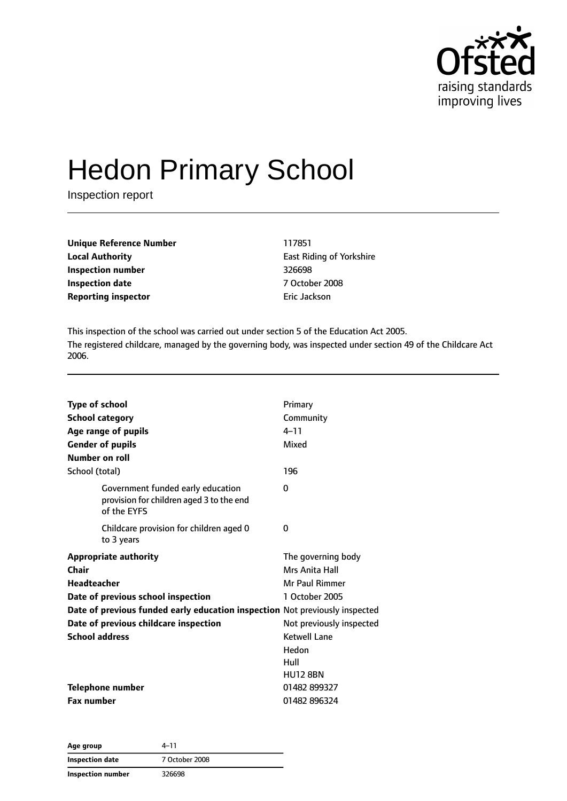

# Hedon Primary School

Inspection report

| Unique Reference Number    | 117851        |
|----------------------------|---------------|
| <b>Local Authority</b>     | East Riding o |
| Inspection number          | 326698        |
| <b>Inspection date</b>     | 7 October 20  |
| <b>Reporting inspector</b> | Eric Jackson  |

**East Riding of Yorkshire Inspection number** 326698 **Inspection date** 7 October 2008

This inspection of the school was carried out under section 5 of the Education Act 2005. The registered childcare, managed by the governing body, was inspected under section 49 of the Childcare Act 2006.

| <b>Type of school</b>                                                                        | Primary                  |
|----------------------------------------------------------------------------------------------|--------------------------|
| <b>School category</b>                                                                       | Community                |
| Age range of pupils                                                                          | $4 - 11$                 |
| <b>Gender of pupils</b>                                                                      | Mixed                    |
| Number on roll                                                                               |                          |
| School (total)                                                                               | 196                      |
| Government funded early education<br>provision for children aged 3 to the end<br>of the EYFS | $\Omega$                 |
| Childcare provision for children aged 0<br>to 3 years                                        | 0                        |
| <b>Appropriate authority</b>                                                                 | The governing body       |
| Chair                                                                                        | Mrs Anita Hall           |
| <b>Headteacher</b>                                                                           | Mr Paul Rimmer           |
| Date of previous school inspection                                                           | 1 October 2005           |
| Date of previous funded early education inspection Not previously inspected                  |                          |
| Date of previous childcare inspection                                                        | Not previously inspected |
| <b>School address</b>                                                                        | <b>Ketwell Lane</b>      |
|                                                                                              | Hedon                    |
|                                                                                              | Hull                     |
|                                                                                              | <b>HU12 8BN</b>          |
| <b>Telephone number</b>                                                                      | 01482 899327             |
| <b>Fax number</b>                                                                            | 01482 896324             |

| Age group         | 4–11           |
|-------------------|----------------|
| Inspection date   | 7 October 2008 |
| Inspection number | 326698         |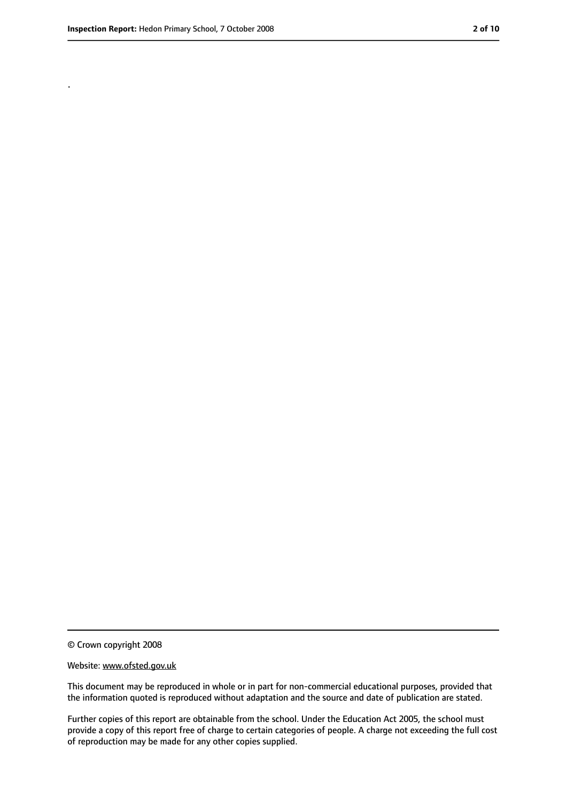.

<sup>©</sup> Crown copyright 2008

Website: www.ofsted.gov.uk

This document may be reproduced in whole or in part for non-commercial educational purposes, provided that the information quoted is reproduced without adaptation and the source and date of publication are stated.

Further copies of this report are obtainable from the school. Under the Education Act 2005, the school must provide a copy of this report free of charge to certain categories of people. A charge not exceeding the full cost of reproduction may be made for any other copies supplied.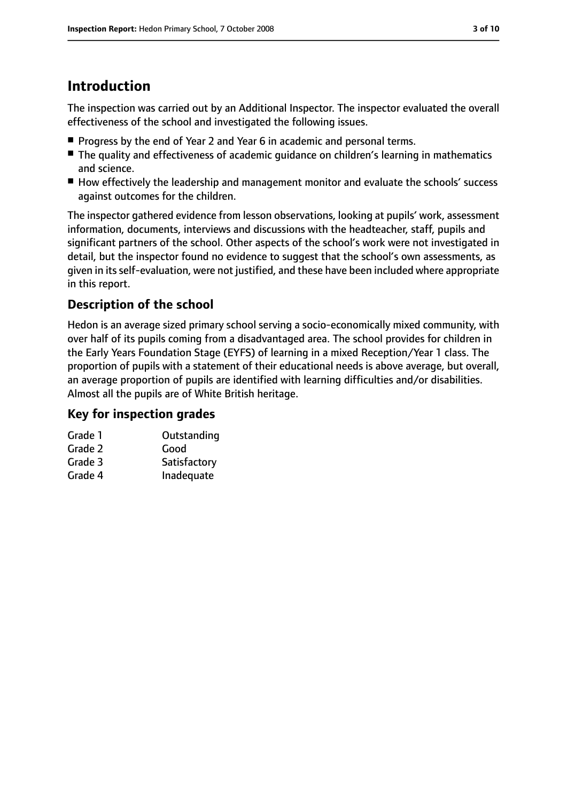# **Introduction**

The inspection was carried out by an Additional Inspector. The inspector evaluated the overall effectiveness of the school and investigated the following issues.

- Progress by the end of Year 2 and Year 6 in academic and personal terms.
- The quality and effectiveness of academic guidance on children's learning in mathematics and science.
- How effectively the leadership and management monitor and evaluate the schools' success against outcomes for the children.

The inspector gathered evidence from lesson observations, looking at pupils' work, assessment information, documents, interviews and discussions with the headteacher, staff, pupils and significant partners of the school. Other aspects of the school's work were not investigated in detail, but the inspector found no evidence to suggest that the school's own assessments, as given in its self-evaluation, were not justified, and these have been included where appropriate in this report.

## **Description of the school**

Hedon is an average sized primary school serving a socio-economically mixed community, with over half of its pupils coming from a disadvantaged area. The school provides for children in the Early Years Foundation Stage (EYFS) of learning in a mixed Reception/Year 1 class. The proportion of pupils with a statement of their educational needs is above average, but overall, an average proportion of pupils are identified with learning difficulties and/or disabilities. Almost all the pupils are of White British heritage.

### **Key for inspection grades**

| Grade 1 | Outstanding  |
|---------|--------------|
| Grade 2 | Good         |
| Grade 3 | Satisfactory |
| Grade 4 | Inadequate   |
|         |              |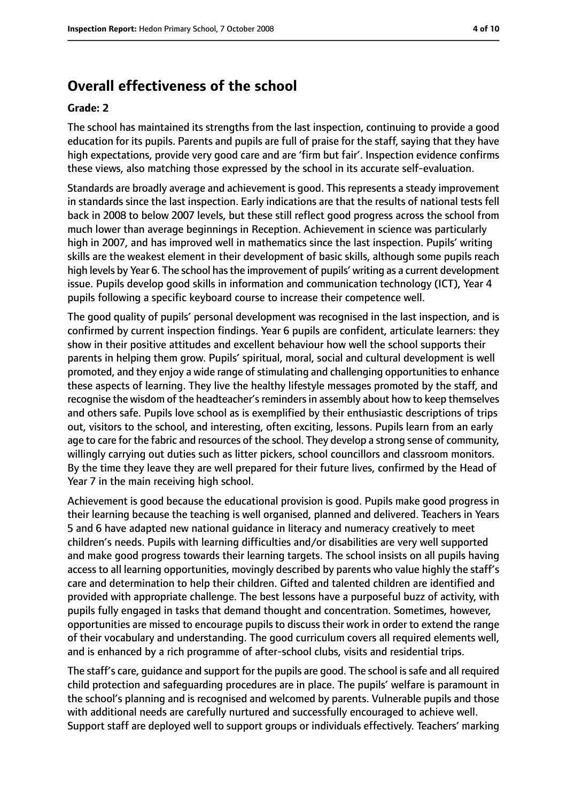# **Overall effectiveness of the school**

#### **Grade: 2**

The school has maintained its strengths from the last inspection, continuing to provide a good education for its pupils. Parents and pupils are full of praise for the staff, saying that they have high expectations, provide very good care and are 'firm but fair'. Inspection evidence confirms these views, also matching those expressed by the school in its accurate self-evaluation.

Standards are broadly average and achievement is good. This represents a steady improvement in standards since the last inspection. Early indications are that the results of national tests fell back in 2008 to below 2007 levels, but these still reflect good progress across the school from much lower than average beginnings in Reception. Achievement in science was particularly high in 2007, and has improved well in mathematics since the last inspection. Pupils' writing skills are the weakest element in their development of basic skills, although some pupils reach high levels by Year 6. The school has the improvement of pupils' writing as a current development issue. Pupils develop good skills in information and communication technology (ICT), Year 4 pupils following a specific keyboard course to increase their competence well.

The good quality of pupils' personal development was recognised in the last inspection, and is confirmed by current inspection findings. Year 6 pupils are confident, articulate learners: they show in their positive attitudes and excellent behaviour how well the school supports their parents in helping them grow. Pupils' spiritual, moral, social and cultural development is well promoted, and they enjoy a wide range of stimulating and challenging opportunities to enhance these aspects of learning. They live the healthy lifestyle messages promoted by the staff, and recognise the wisdom of the headteacher's reminders in assembly about how to keep themselves and others safe. Pupils love school as is exemplified by their enthusiastic descriptions of trips out, visitors to the school, and interesting, often exciting, lessons. Pupils learn from an early age to care for the fabric and resources of the school. They develop a strong sense of community, willingly carrying out duties such as litter pickers, school councillors and classroom monitors. By the time they leave they are well prepared for their future lives, confirmed by the Head of Year 7 in the main receiving high school.

Achievement is good because the educational provision is good. Pupils make good progress in their learning because the teaching is well organised, planned and delivered. Teachers in Years 5 and 6 have adapted new national guidance in literacy and numeracy creatively to meet children's needs. Pupils with learning difficulties and/or disabilities are very well supported and make good progress towards their learning targets. The school insists on all pupils having access to all learning opportunities, movingly described by parents who value highly the staff's care and determination to help their children. Gifted and talented children are identified and provided with appropriate challenge. The best lessons have a purposeful buzz of activity, with pupils fully engaged in tasks that demand thought and concentration. Sometimes, however, opportunities are missed to encourage pupils to discuss their work in order to extend the range of their vocabulary and understanding. The good curriculum covers all required elements well, and is enhanced by a rich programme of after-school clubs, visits and residential trips.

The staff's care, quidance and support for the pupils are good. The school is safe and all required child protection and safeguarding procedures are in place. The pupils' welfare is paramount in the school's planning and is recognised and welcomed by parents. Vulnerable pupils and those with additional needs are carefully nurtured and successfully encouraged to achieve well. Support staff are deployed well to support groups or individuals effectively. Teachers' marking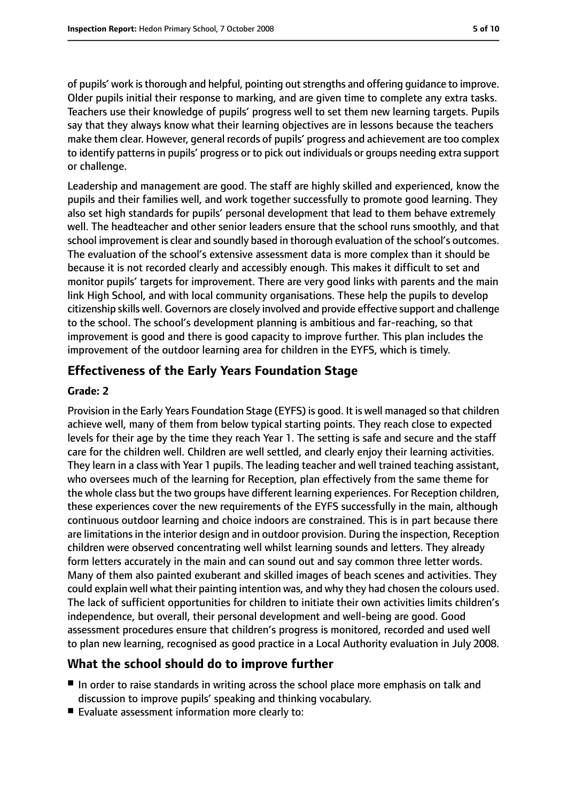of pupils' work isthorough and helpful, pointing outstrengths and offering guidance to improve. Older pupils initial their response to marking, and are given time to complete any extra tasks. Teachers use their knowledge of pupils' progress well to set them new learning targets. Pupils say that they always know what their learning objectives are in lessons because the teachers make them clear. However, general records of pupils' progress and achievement are too complex to identify patterns in pupils' progress or to pick out individuals or groups needing extra support or challenge.

Leadership and management are good. The staff are highly skilled and experienced, know the pupils and their families well, and work together successfully to promote good learning. They also set high standards for pupils' personal development that lead to them behave extremely well. The headteacher and other senior leaders ensure that the school runs smoothly, and that school improvement is clear and soundly based in thorough evaluation of the school's outcomes. The evaluation of the school's extensive assessment data is more complex than it should be because it is not recorded clearly and accessibly enough. This makes it difficult to set and monitor pupils' targets for improvement. There are very good links with parents and the main link High School, and with local community organisations. These help the pupils to develop citizenship skills well. Governors are closely involved and provide effective support and challenge to the school. The school's development planning is ambitious and far-reaching, so that improvement is good and there is good capacity to improve further. This plan includes the improvement of the outdoor learning area for children in the EYFS, which is timely.

## **Effectiveness of the Early Years Foundation Stage**

#### **Grade: 2**

Provision in the Early Years Foundation Stage (EYFS) is good. It is well managed so that children achieve well, many of them from below typical starting points. They reach close to expected levels for their age by the time they reach Year 1. The setting is safe and secure and the staff care for the children well. Children are well settled, and clearly enjoy their learning activities. They learn in a class with Year 1 pupils. The leading teacher and well trained teaching assistant, who oversees much of the learning for Reception, plan effectively from the same theme for the whole class but the two groups have different learning experiences. For Reception children, these experiences cover the new requirements of the EYFS successfully in the main, although continuous outdoor learning and choice indoors are constrained. This is in part because there are limitations in the interior design and in outdoor provision. During the inspection, Reception children were observed concentrating well whilst learning sounds and letters. They already form letters accurately in the main and can sound out and say common three letter words. Many of them also painted exuberant and skilled images of beach scenes and activities. They could explain well what their painting intention was, and why they had chosen the colours used. The lack of sufficient opportunities for children to initiate their own activities limits children's independence, but overall, their personal development and well-being are good. Good assessment procedures ensure that children's progress is monitored, recorded and used well to plan new learning, recognised as good practice in a Local Authority evaluation in July 2008.

#### **What the school should do to improve further**

- In order to raise standards in writing across the school place more emphasis on talk and discussion to improve pupils' speaking and thinking vocabulary.
- Evaluate assessment information more clearly to: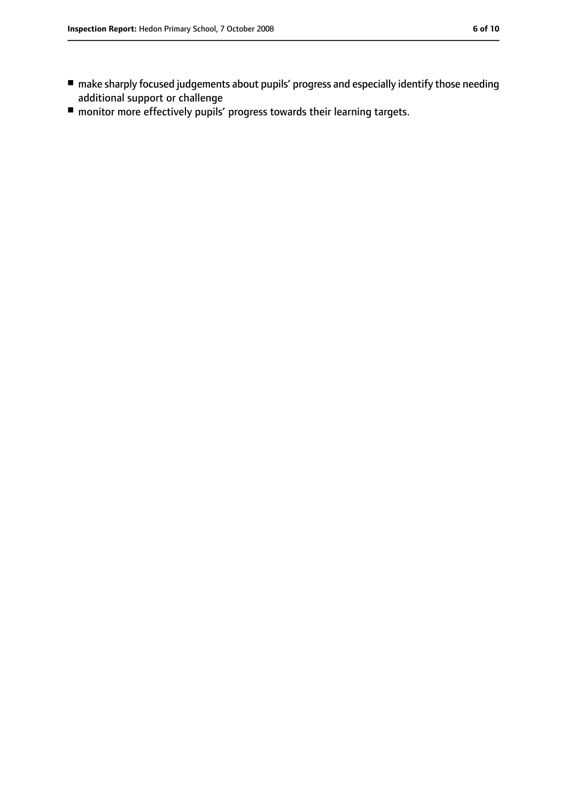- make sharply focused judgements about pupils' progress and especially identify those needing additional support or challenge
- monitor more effectively pupils' progress towards their learning targets.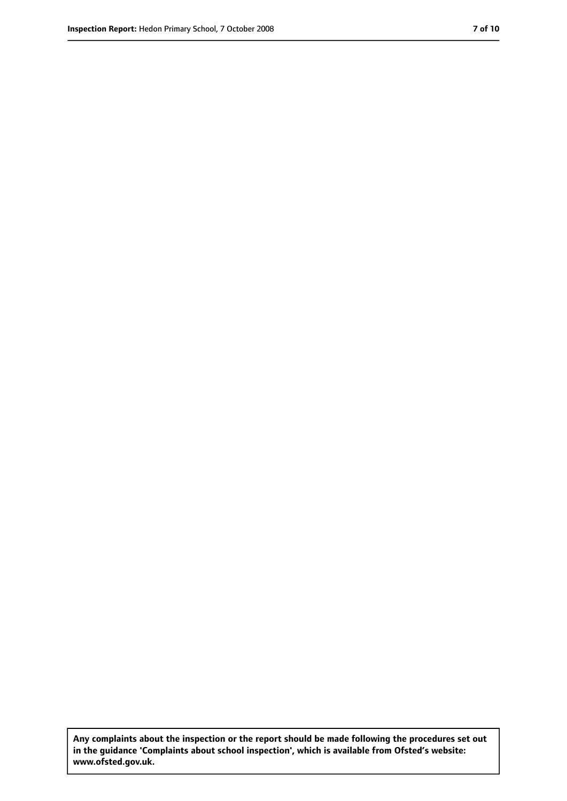**Any complaints about the inspection or the report should be made following the procedures set out in the guidance 'Complaints about school inspection', which is available from Ofsted's website: www.ofsted.gov.uk.**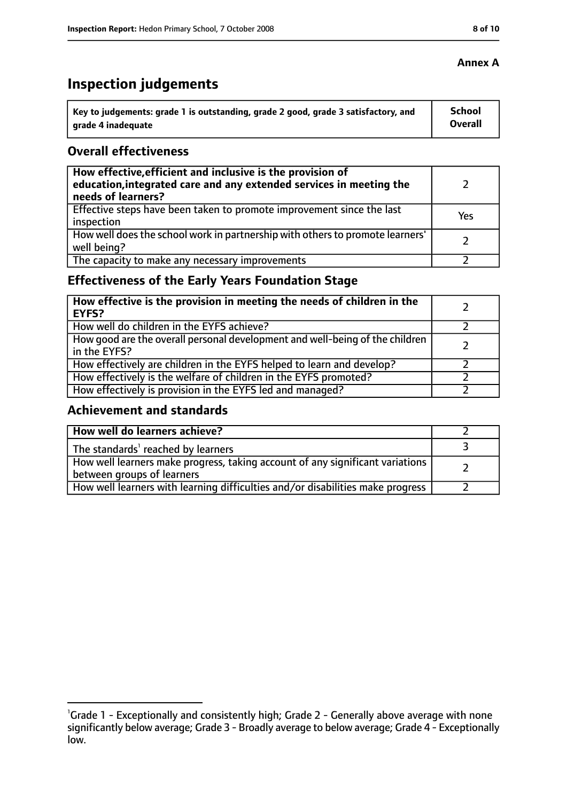# **Inspection judgements**

| key to judgements: grade 1 is outstanding, grade 2 good, grade 3 satisfactory, and ا | <b>School</b>  |
|--------------------------------------------------------------------------------------|----------------|
| arade 4 inadequate                                                                   | <b>Overall</b> |

#### **Overall effectiveness**

| How effective, efficient and inclusive is the provision of<br>education, integrated care and any extended services in meeting the<br>needs of learners? |     |
|---------------------------------------------------------------------------------------------------------------------------------------------------------|-----|
| Effective steps have been taken to promote improvement since the last<br>inspection                                                                     | Yes |
| How well does the school work in partnership with others to promote learners'<br>well being?                                                            |     |
| The capacity to make any necessary improvements                                                                                                         |     |

# **Effectiveness of the Early Years Foundation Stage**

| How effective is the provision in meeting the needs of children in the<br>l EYFS?              |  |
|------------------------------------------------------------------------------------------------|--|
| How well do children in the EYFS achieve?                                                      |  |
| How good are the overall personal development and well-being of the children<br>I in the EYFS? |  |
| How effectively are children in the EYFS helped to learn and develop?                          |  |
| How effectively is the welfare of children in the EYFS promoted?                               |  |
| How effectively is provision in the EYFS led and managed?                                      |  |

#### **Achievement and standards**

| How well do learners achieve?                                                                               |  |
|-------------------------------------------------------------------------------------------------------------|--|
| The standards <sup>1</sup> reached by learners                                                              |  |
| How well learners make progress, taking account of any significant variations<br>between groups of learners |  |
| How well learners with learning difficulties and/or disabilities make progress                              |  |

## **Annex A**

<sup>&</sup>lt;sup>1</sup>Grade 1 - Exceptionally and consistently high; Grade 2 - Generally above average with none significantly below average; Grade 3 - Broadly average to below average; Grade 4 - Exceptionally low.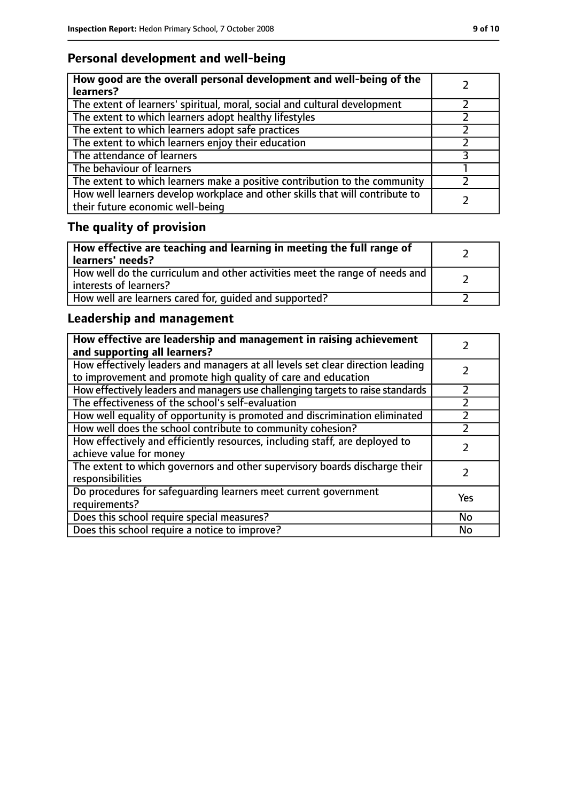# **Personal development and well-being**

| How good are the overall personal development and well-being of the<br>learners?                                 |  |
|------------------------------------------------------------------------------------------------------------------|--|
| The extent of learners' spiritual, moral, social and cultural development                                        |  |
| The extent to which learners adopt healthy lifestyles                                                            |  |
| The extent to which learners adopt safe practices                                                                |  |
| The extent to which learners enjoy their education                                                               |  |
| The attendance of learners                                                                                       |  |
| The behaviour of learners                                                                                        |  |
| The extent to which learners make a positive contribution to the community                                       |  |
| How well learners develop workplace and other skills that will contribute to<br>their future economic well-being |  |

# **The quality of provision**

| How effective are teaching and learning in meeting the full range of<br>learners' needs?              |  |
|-------------------------------------------------------------------------------------------------------|--|
| How well do the curriculum and other activities meet the range of needs and<br>interests of learners? |  |
| How well are learners cared for, quided and supported?                                                |  |

# **Leadership and management**

| How effective are leadership and management in raising achievement<br>and supporting all learners?                                              |           |
|-------------------------------------------------------------------------------------------------------------------------------------------------|-----------|
| How effectively leaders and managers at all levels set clear direction leading<br>to improvement and promote high quality of care and education |           |
| How effectively leaders and managers use challenging targets to raise standards                                                                 | フ         |
| The effectiveness of the school's self-evaluation                                                                                               |           |
| How well equality of opportunity is promoted and discrimination eliminated                                                                      |           |
| How well does the school contribute to community cohesion?                                                                                      |           |
| How effectively and efficiently resources, including staff, are deployed to<br>achieve value for money                                          |           |
| The extent to which governors and other supervisory boards discharge their<br>responsibilities                                                  |           |
| Do procedures for safequarding learners meet current government<br>requirements?                                                                | Yes       |
| Does this school require special measures?                                                                                                      | <b>No</b> |
| Does this school require a notice to improve?                                                                                                   | No        |